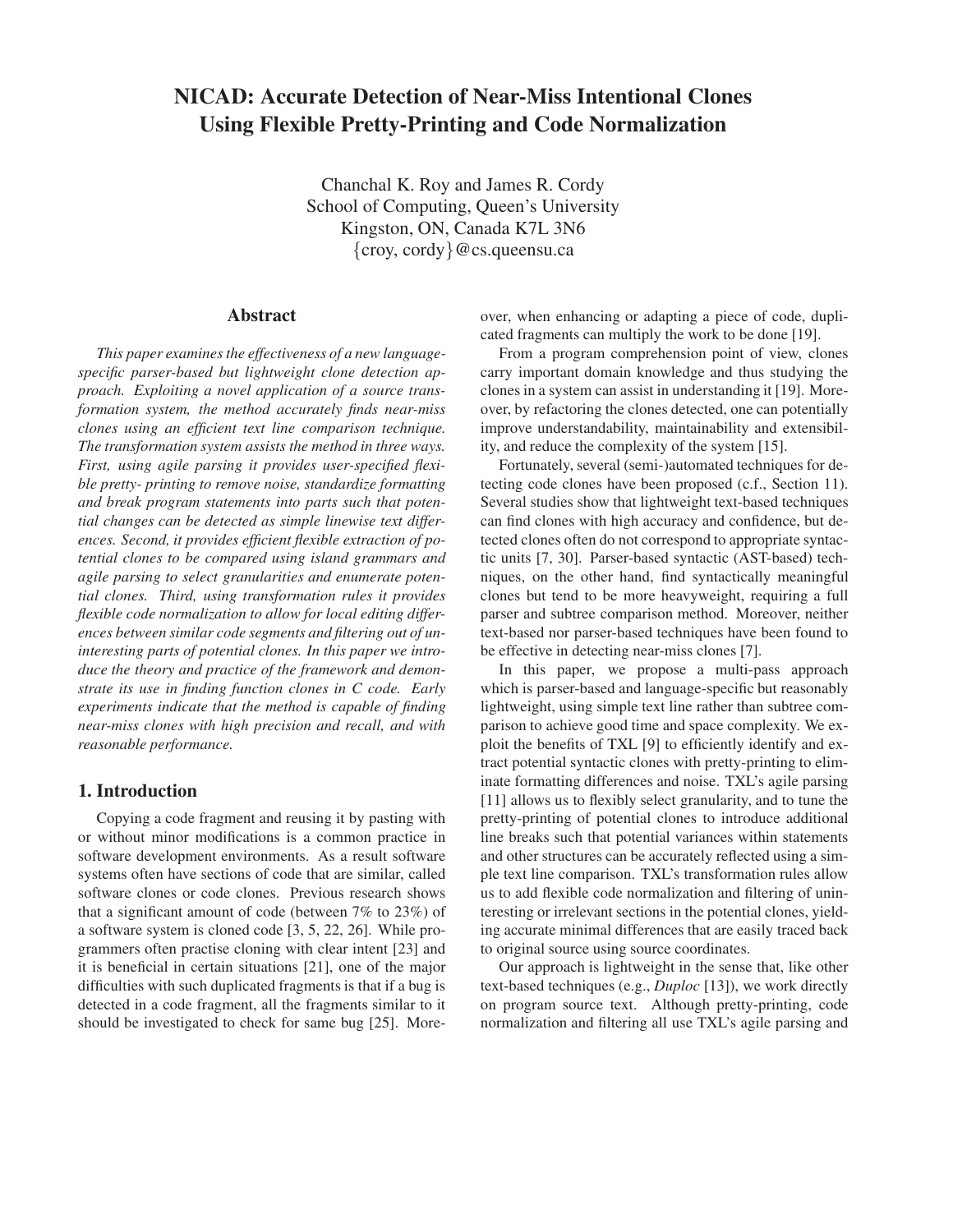# **NICAD: Accurate Detection of Near-Miss Intentional Clones Using Flexible Pretty-Printing and Code Normalization**

Chanchal K. Roy and James R. Cordy School of Computing, Queen's University Kingston, ON, Canada K7L 3N6 {croy, cordy}@cs.queensu.ca

## **Abstract**

*This paper examines the effectiveness of a new languagespecific parser-based but lightweight clone detection approach. Exploiting a novel application of a source transformation system, the method accurately finds near-miss clones using an efficient text line comparison technique. The transformation system assists the method in three ways. First, using agile parsing it provides user-specified flexible pretty- printing to remove noise, standardize formatting and break program statements into parts such that potential changes can be detected as simple linewise text differences. Second, it provides efficient flexible extraction of potential clones to be compared using island grammars and agile parsing to select granularities and enumerate potential clones. Third, using transformation rules it provides flexible code normalization to allow for local editing differences between similar code segments and filtering out of uninteresting parts of potential clones. In this paper we introduce the theory and practice of the framework and demonstrate its use in finding function clones in C code. Early experiments indicate that the method is capable of finding near-miss clones with high precision and recall, and with reasonable performance.*

## **1. Introduction**

Copying a code fragment and reusing it by pasting with or without minor modifications is a common practice in software development environments. As a result software systems often have sections of code that are similar, called software clones or code clones. Previous research shows that a significant amount of code (between 7% to 23%) of a software system is cloned code [3, 5, 22, 26]. While programmers often practise cloning with clear intent [23] and it is beneficial in certain situations [21], one of the major difficulties with such duplicated fragments is that if a bug is detected in a code fragment, all the fragments similar to it should be investigated to check for same bug [25]. Moreover, when enhancing or adapting a piece of code, duplicated fragments can multiply the work to be done [19].

From a program comprehension point of view, clones carry important domain knowledge and thus studying the clones in a system can assist in understanding it [19]. Moreover, by refactoring the clones detected, one can potentially improve understandability, maintainability and extensibility, and reduce the complexity of the system [15].

Fortunately, several (semi-)automated techniques for detecting code clones have been proposed (c.f., Section 11). Several studies show that lightweight text-based techniques can find clones with high accuracy and confidence, but detected clones often do not correspond to appropriate syntactic units [7, 30]. Parser-based syntactic (AST-based) techniques, on the other hand, find syntactically meaningful clones but tend to be more heavyweight, requiring a full parser and subtree comparison method. Moreover, neither text-based nor parser-based techniques have been found to be effective in detecting near-miss clones [7].

In this paper, we propose a multi-pass approach which is parser-based and language-specific but reasonably lightweight, using simple text line rather than subtree comparison to achieve good time and space complexity. We exploit the benefits of TXL [9] to efficiently identify and extract potential syntactic clones with pretty-printing to eliminate formatting differences and noise. TXL's agile parsing [11] allows us to flexibly select granularity, and to tune the pretty-printing of potential clones to introduce additional line breaks such that potential variances within statements and other structures can be accurately reflected using a simple text line comparison. TXL's transformation rules allow us to add flexible code normalization and filtering of uninteresting or irrelevant sections in the potential clones, yielding accurate minimal differences that are easily traced back to original source using source coordinates.

Our approach is lightweight in the sense that, like other text-based techniques (e.g., *Duploc* [13]), we work directly on program source text. Although pretty-printing, code normalization and filtering all use TXL's agile parsing and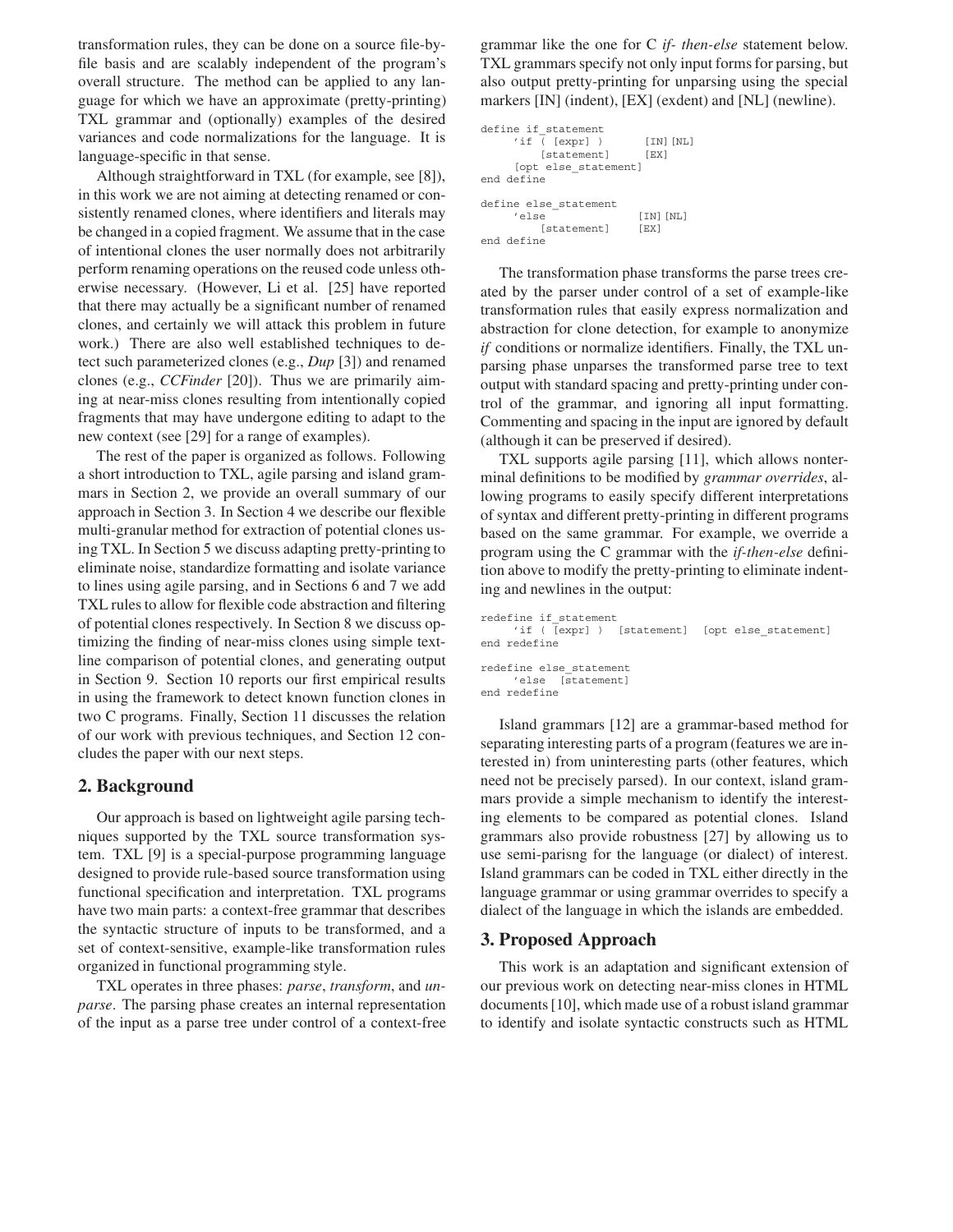transformation rules, they can be done on a source file-byfile basis and are scalably independent of the program's overall structure. The method can be applied to any language for which we have an approximate (pretty-printing) TXL grammar and (optionally) examples of the desired variances and code normalizations for the language. It is language-specific in that sense.

Although straightforward in TXL (for example, see [8]), in this work we are not aiming at detecting renamed or consistently renamed clones, where identifiers and literals may be changed in a copied fragment. We assume that in the case of intentional clones the user normally does not arbitrarily perform renaming operations on the reused code unless otherwise necessary. (However, Li et al. [25] have reported that there may actually be a significant number of renamed clones, and certainly we will attack this problem in future work.) There are also well established techniques to detect such parameterized clones (e.g., *Dup* [3]) and renamed clones (e.g., *CCFinder* [20]). Thus we are primarily aiming at near-miss clones resulting from intentionally copied fragments that may have undergone editing to adapt to the new context (see [29] for a range of examples).

The rest of the paper is organized as follows. Following a short introduction to TXL, agile parsing and island grammars in Section 2, we provide an overall summary of our approach in Section 3. In Section 4 we describe our flexible multi-granular method for extraction of potential clones using TXL. In Section 5 we discuss adapting pretty-printing to eliminate noise, standardize formatting and isolate variance to lines using agile parsing, and in Sections 6 and 7 we add TXL rules to allow for flexible code abstraction and filtering of potential clones respectively. In Section 8 we discuss optimizing the finding of near-miss clones using simple textline comparison of potential clones, and generating output in Section 9. Section 10 reports our first empirical results in using the framework to detect known function clones in two C programs. Finally, Section 11 discusses the relation of our work with previous techniques, and Section 12 concludes the paper with our next steps.

# **2. Background**

Our approach is based on lightweight agile parsing techniques supported by the TXL source transformation system. TXL [9] is a special-purpose programming language designed to provide rule-based source transformation using functional specification and interpretation. TXL programs have two main parts: a context-free grammar that describes the syntactic structure of inputs to be transformed, and a set of context-sensitive, example-like transformation rules organized in functional programming style.

TXL operates in three phases: *parse*, *transform*, and *unparse*. The parsing phase creates an internal representation of the input as a parse tree under control of a context-free grammar like the one for C *if- then-else* statement below. TXL grammars specify not only input forms for parsing, but also output pretty-printing for unparsing using the special markers [IN] (indent), [EX] (exdent) and [NL] (newline).

```
define if_statement
     'if ( [expr] ) [IN] [NL]<br>[statement] [EX][statement]
      [opt else_statement]
end define
define else_statement
      else [IN][NL]<br>[statement] [EX]
          [statement]
end define
```
The transformation phase transforms the parse trees created by the parser under control of a set of example-like transformation rules that easily express normalization and abstraction for clone detection, for example to anonymize *if* conditions or normalize identifiers. Finally, the TXL unparsing phase unparses the transformed parse tree to text output with standard spacing and pretty-printing under control of the grammar, and ignoring all input formatting. Commenting and spacing in the input are ignored by default (although it can be preserved if desired).

TXL supports agile parsing [11], which allows nonterminal definitions to be modified by *grammar overrides*, allowing programs to easily specify different interpretations of syntax and different pretty-printing in different programs based on the same grammar. For example, we override a program using the C grammar with the *if-then-else* definition above to modify the pretty-printing to eliminate indenting and newlines in the output:

```
redefine if_statement<br>'if ([expr] )
                       [statement] [opt else_statement]
end redefine
redefine else_statement
     'else [statement]
end redefine
```
Island grammars [12] are a grammar-based method for separating interesting parts of a program (features we are interested in) from uninteresting parts (other features, which need not be precisely parsed). In our context, island grammars provide a simple mechanism to identify the interesting elements to be compared as potential clones. Island grammars also provide robustness [27] by allowing us to use semi-parisng for the language (or dialect) of interest. Island grammars can be coded in TXL either directly in the language grammar or using grammar overrides to specify a dialect of the language in which the islands are embedded.

#### **3. Proposed Approach**

This work is an adaptation and significant extension of our previous work on detecting near-miss clones in HTML documents [10], which made use of a robust island grammar to identify and isolate syntactic constructs such as HTML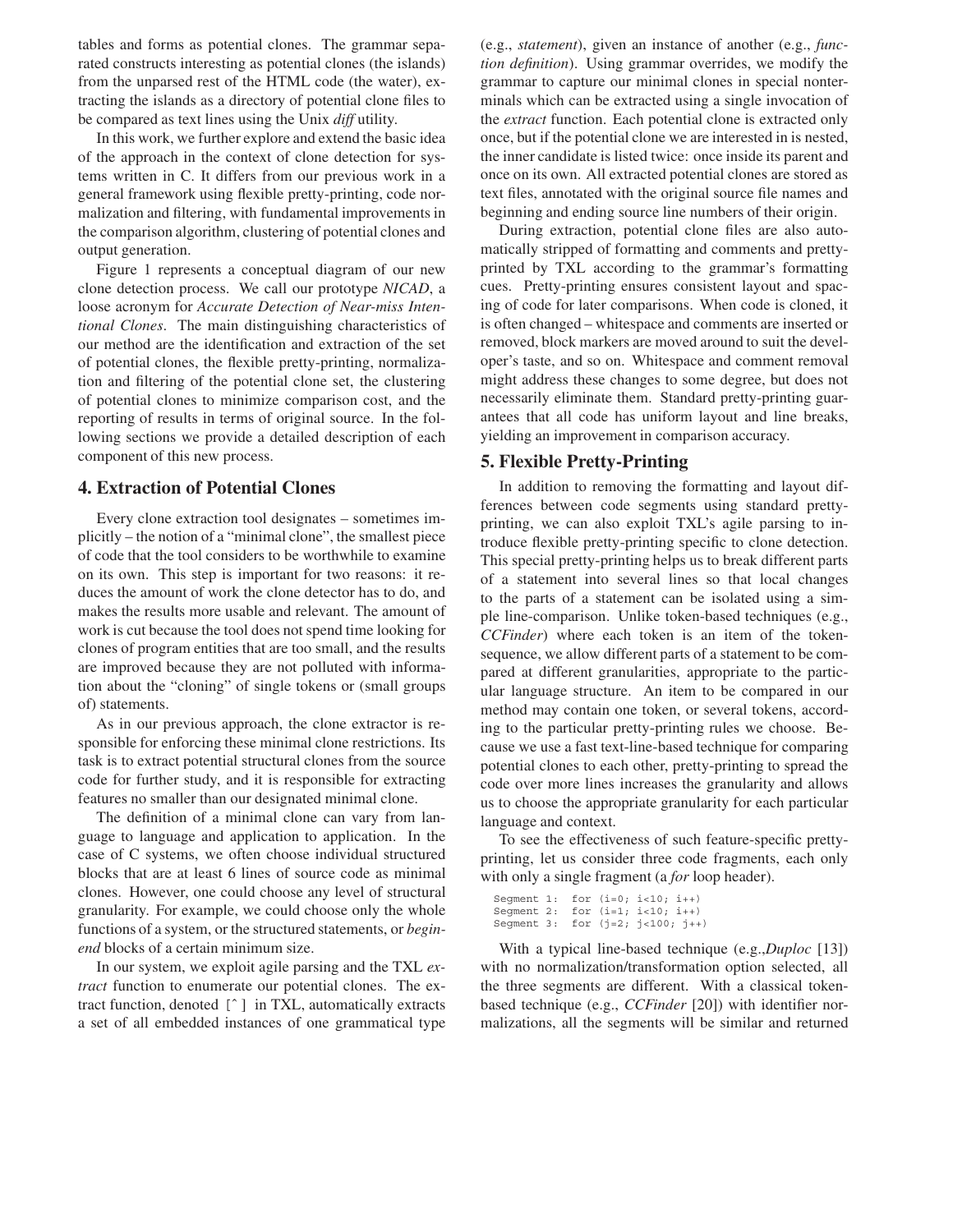tables and forms as potential clones. The grammar separated constructs interesting as potential clones (the islands) from the unparsed rest of the HTML code (the water), extracting the islands as a directory of potential clone files to be compared as text lines using the Unix *diff* utility.

In this work, we further explore and extend the basic idea of the approach in the context of clone detection for systems written in C. It differs from our previous work in a general framework using flexible pretty-printing, code normalization and filtering, with fundamental improvements in the comparison algorithm, clustering of potential clones and output generation.

Figure 1 represents a conceptual diagram of our new clone detection process. We call our prototype *NICAD*, a loose acronym for *Accurate Detection of Near-miss Intentional Clones*. The main distinguishing characteristics of our method are the identification and extraction of the set of potential clones, the flexible pretty-printing, normalization and filtering of the potential clone set, the clustering of potential clones to minimize comparison cost, and the reporting of results in terms of original source. In the following sections we provide a detailed description of each component of this new process.

## **4. Extraction of Potential Clones**

Every clone extraction tool designates – sometimes implicitly – the notion of a "minimal clone", the smallest piece of code that the tool considers to be worthwhile to examine on its own. This step is important for two reasons: it reduces the amount of work the clone detector has to do, and makes the results more usable and relevant. The amount of work is cut because the tool does not spend time looking for clones of program entities that are too small, and the results are improved because they are not polluted with information about the "cloning" of single tokens or (small groups of) statements.

As in our previous approach, the clone extractor is responsible for enforcing these minimal clone restrictions. Its task is to extract potential structural clones from the source code for further study, and it is responsible for extracting features no smaller than our designated minimal clone.

The definition of a minimal clone can vary from language to language and application to application. In the case of C systems, we often choose individual structured blocks that are at least 6 lines of source code as minimal clones. However, one could choose any level of structural granularity. For example, we could choose only the whole functions of a system, or the structured statements, or *beginend* blocks of a certain minimum size.

In our system, we exploit agile parsing and the TXL *extract* function to enumerate our potential clones. The extract function, denoted [ˆ ] in TXL, automatically extracts a set of all embedded instances of one grammatical type (e.g., *statement*), given an instance of another (e.g., *function definition*). Using grammar overrides, we modify the grammar to capture our minimal clones in special nonterminals which can be extracted using a single invocation of the *extract* function. Each potential clone is extracted only once, but if the potential clone we are interested in is nested, the inner candidate is listed twice: once inside its parent and once on its own. All extracted potential clones are stored as text files, annotated with the original source file names and beginning and ending source line numbers of their origin.

During extraction, potential clone files are also automatically stripped of formatting and comments and prettyprinted by TXL according to the grammar's formatting cues. Pretty-printing ensures consistent layout and spacing of code for later comparisons. When code is cloned, it is often changed – whitespace and comments are inserted or removed, block markers are moved around to suit the developer's taste, and so on. Whitespace and comment removal might address these changes to some degree, but does not necessarily eliminate them. Standard pretty-printing guarantees that all code has uniform layout and line breaks, yielding an improvement in comparison accuracy.

#### **5. Flexible Pretty-Printing**

In addition to removing the formatting and layout differences between code segments using standard prettyprinting, we can also exploit TXL's agile parsing to introduce flexible pretty-printing specific to clone detection. This special pretty-printing helps us to break different parts of a statement into several lines so that local changes to the parts of a statement can be isolated using a simple line-comparison. Unlike token-based techniques (e.g., *CCFinder*) where each token is an item of the tokensequence, we allow different parts of a statement to be compared at different granularities, appropriate to the particular language structure. An item to be compared in our method may contain one token, or several tokens, according to the particular pretty-printing rules we choose. Because we use a fast text-line-based technique for comparing potential clones to each other, pretty-printing to spread the code over more lines increases the granularity and allows us to choose the appropriate granularity for each particular language and context.

To see the effectiveness of such feature-specific prettyprinting, let us consider three code fragments, each only with only a single fragment (a *for* loop header).

```
Segment 1: for (i=0; i<10; i++)Segment 2: for (i=1; i<10; i++)Segment 3: for (j=2; j<100; j++)
```
With a typical line-based technique (e.g.,*Duploc* [13]) with no normalization/transformation option selected, all the three segments are different. With a classical tokenbased technique (e.g., *CCFinder* [20]) with identifier normalizations, all the segments will be similar and returned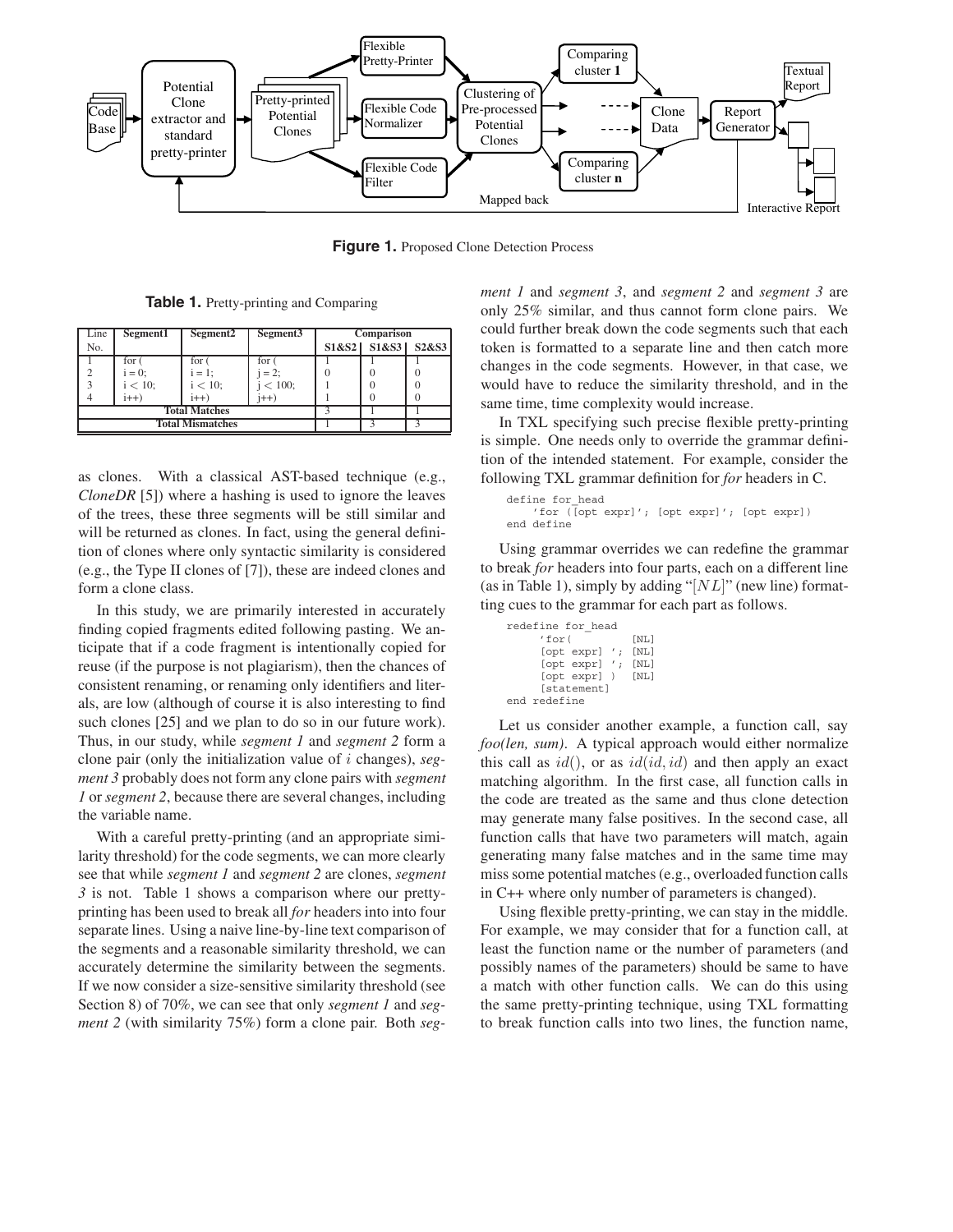

**Figure 1.** Proposed Clone Detection Process

**Table 1.** Pretty-printing and Comparing

| Line                    | Segment1   | Segment <sub>2</sub> | Segment <sub>3</sub> | Comparison |       |                                |  |
|-------------------------|------------|----------------------|----------------------|------------|-------|--------------------------------|--|
| No.                     |            |                      |                      | S1&S2      | S1&S3 | S <sub>2</sub> &S <sub>3</sub> |  |
|                         | for (      | for (                | for (                |            |       |                                |  |
|                         | $i = 0$ ;  | $i = 1$ ;            | $= 2:$               |            |       |                                |  |
|                         | $i < 10$ ; | $i < 10$ ;           | $< 100$ ;            |            |       |                                |  |
| 4                       | $i++$      | $i++$                | i++)                 |            |       |                                |  |
| <b>Total Matches</b>    |            |                      |                      |            |       |                                |  |
| <b>Total Mismatches</b> |            |                      |                      |            |       |                                |  |

as clones. With a classical AST-based technique (e.g., *CloneDR* [5]) where a hashing is used to ignore the leaves of the trees, these three segments will be still similar and will be returned as clones. In fact, using the general definition of clones where only syntactic similarity is considered (e.g., the Type II clones of [7]), these are indeed clones and form a clone class.

In this study, we are primarily interested in accurately finding copied fragments edited following pasting. We anticipate that if a code fragment is intentionally copied for reuse (if the purpose is not plagiarism), then the chances of consistent renaming, or renaming only identifiers and literals, are low (although of course it is also interesting to find such clones [25] and we plan to do so in our future work). Thus, in our study, while *segment 1* and *segment 2* form a clone pair (only the initialization value of *i* changes), *segment 3* probably does not form any clone pairs with *segment 1* or *segment 2*, because there are several changes, including the variable name.

With a careful pretty-printing (and an appropriate similarity threshold) for the code segments, we can more clearly see that while *segment 1* and *segment 2* are clones, *segment 3* is not. Table 1 shows a comparison where our prettyprinting has been used to break all *for* headers into into four separate lines. Using a naive line-by-line text comparison of the segments and a reasonable similarity threshold, we can accurately determine the similarity between the segments. If we now consider a size-sensitive similarity threshold (see Section 8) of 70%, we can see that only *segment 1* and *segment 2* (with similarity 75%) form a clone pair. Both *seg-* *ment 1* and *segment 3*, and *segment 2* and *segment 3* are only 25% similar, and thus cannot form clone pairs. We could further break down the code segments such that each token is formatted to a separate line and then catch more changes in the code segments. However, in that case, we would have to reduce the similarity threshold, and in the same time, time complexity would increase.

In TXL specifying such precise flexible pretty-printing is simple. One needs only to override the grammar definition of the intended statement. For example, consider the following TXL grammar definition for *for* headers in C.

```
define for_head
    'for ([opt expr]'; [opt expr]'; [opt expr])
end define
```
Using grammar overrides we can redefine the grammar to break *for* headers into four parts, each on a different line (as in Table 1), simply by adding "[*NL*]" (new line) formatting cues to the grammar for each part as follows.

```
redefine for_head
      '\text{for} [NL]
      [opt expr] '; [NL]<br>[opt expr] '; [NL]
      [opt expr] ';
      [opt expr] ) [NL]
      [statement]
end redefine
```
Let us consider another example, a function call, say *foo(len, sum)*. A typical approach would either normalize this call as  $id($ , or as  $id(id, id)$  and then apply an exact matching algorithm. In the first case, all function calls in the code are treated as the same and thus clone detection may generate many false positives. In the second case, all function calls that have two parameters will match, again generating many false matches and in the same time may miss some potential matches (e.g., overloaded function calls in C++ where only number of parameters is changed).

Using flexible pretty-printing, we can stay in the middle. For example, we may consider that for a function call, at least the function name or the number of parameters (and possibly names of the parameters) should be same to have a match with other function calls. We can do this using the same pretty-printing technique, using TXL formatting to break function calls into two lines, the function name,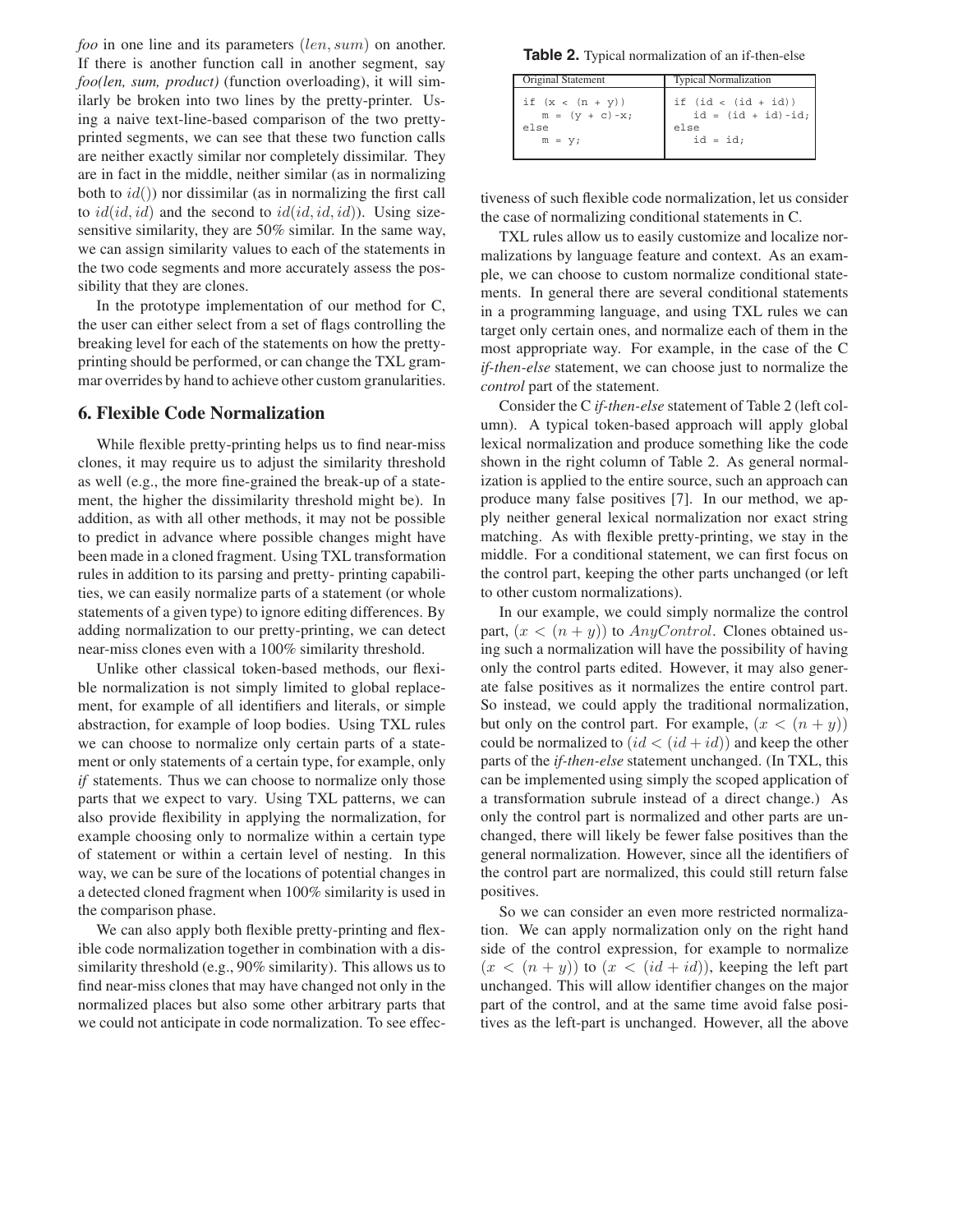*foo* in one line and its parameters (*len, sum*) on another. If there is another function call in another segment, say *foo(len, sum, product)* (function overloading), it will similarly be broken into two lines by the pretty-printer. Using a naive text-line-based comparison of the two prettyprinted segments, we can see that these two function calls are neither exactly similar nor completely dissimilar. They are in fact in the middle, neither similar (as in normalizing both to *id*()) nor dissimilar (as in normalizing the first call to *id*(*id, id*) and the second to *id*(*id, id, id*)). Using sizesensitive similarity, they are 50% similar. In the same way, we can assign similarity values to each of the statements in the two code segments and more accurately assess the possibility that they are clones.

In the prototype implementation of our method for C, the user can either select from a set of flags controlling the breaking level for each of the statements on how the prettyprinting should be performed, or can change the TXL grammar overrides by hand to achieve other custom granularities.

## **6. Flexible Code Normalization**

While flexible pretty-printing helps us to find near-miss clones, it may require us to adjust the similarity threshold as well (e.g., the more fine-grained the break-up of a statement, the higher the dissimilarity threshold might be). In addition, as with all other methods, it may not be possible to predict in advance where possible changes might have been made in a cloned fragment. Using TXL transformation rules in addition to its parsing and pretty- printing capabilities, we can easily normalize parts of a statement (or whole statements of a given type) to ignore editing differences. By adding normalization to our pretty-printing, we can detect near-miss clones even with a 100% similarity threshold.

Unlike other classical token-based methods, our flexible normalization is not simply limited to global replacement, for example of all identifiers and literals, or simple abstraction, for example of loop bodies. Using TXL rules we can choose to normalize only certain parts of a statement or only statements of a certain type, for example, only *if* statements. Thus we can choose to normalize only those parts that we expect to vary. Using TXL patterns, we can also provide flexibility in applying the normalization, for example choosing only to normalize within a certain type of statement or within a certain level of nesting. In this way, we can be sure of the locations of potential changes in a detected cloned fragment when 100% similarity is used in the comparison phase.

We can also apply both flexible pretty-printing and flexible code normalization together in combination with a dissimilarity threshold (e.g., 90% similarity). This allows us to find near-miss clones that may have changed not only in the normalized places but also some other arbitrary parts that we could not anticipate in code normalization. To see effec-

**Table 2.** Typical normalization of an if-then-else

| Original Statement                       | <b>Typical Normalization</b>                    |
|------------------------------------------|-------------------------------------------------|
| if $(x < (n + y))$<br>$m = (y + c) - x;$ | if $(id < (id + id))$<br>$id = (id + id) - id;$ |
| else                                     | else                                            |
| $m = y;$                                 | $id = id;$                                      |

tiveness of such flexible code normalization, let us consider the case of normalizing conditional statements in C.

TXL rules allow us to easily customize and localize normalizations by language feature and context. As an example, we can choose to custom normalize conditional statements. In general there are several conditional statements in a programming language, and using TXL rules we can target only certain ones, and normalize each of them in the most appropriate way. For example, in the case of the C *if-then-else* statement, we can choose just to normalize the *control* part of the statement.

Consider the C *if-then-else* statement of Table 2 (left column). A typical token-based approach will apply global lexical normalization and produce something like the code shown in the right column of Table 2. As general normalization is applied to the entire source, such an approach can produce many false positives [7]. In our method, we apply neither general lexical normalization nor exact string matching. As with flexible pretty-printing, we stay in the middle. For a conditional statement, we can first focus on the control part, keeping the other parts unchanged (or left to other custom normalizations).

In our example, we could simply normalize the control part,  $(x < (n + y))$  to *AnyControl*. Clones obtained using such a normalization will have the possibility of having only the control parts edited. However, it may also generate false positives as it normalizes the entire control part. So instead, we could apply the traditional normalization, but only on the control part. For example,  $(x < (n + y))$ could be normalized to  $(id < (id + id))$  and keep the other parts of the *if-then-else* statement unchanged. (In TXL, this can be implemented using simply the scoped application of a transformation subrule instead of a direct change.) As only the control part is normalized and other parts are unchanged, there will likely be fewer false positives than the general normalization. However, since all the identifiers of the control part are normalized, this could still return false positives.

So we can consider an even more restricted normalization. We can apply normalization only on the right hand side of the control expression, for example to normalize  $(x < (n + y))$  to  $(x < (id + id))$ , keeping the left part unchanged. This will allow identifier changes on the major part of the control, and at the same time avoid false positives as the left-part is unchanged. However, all the above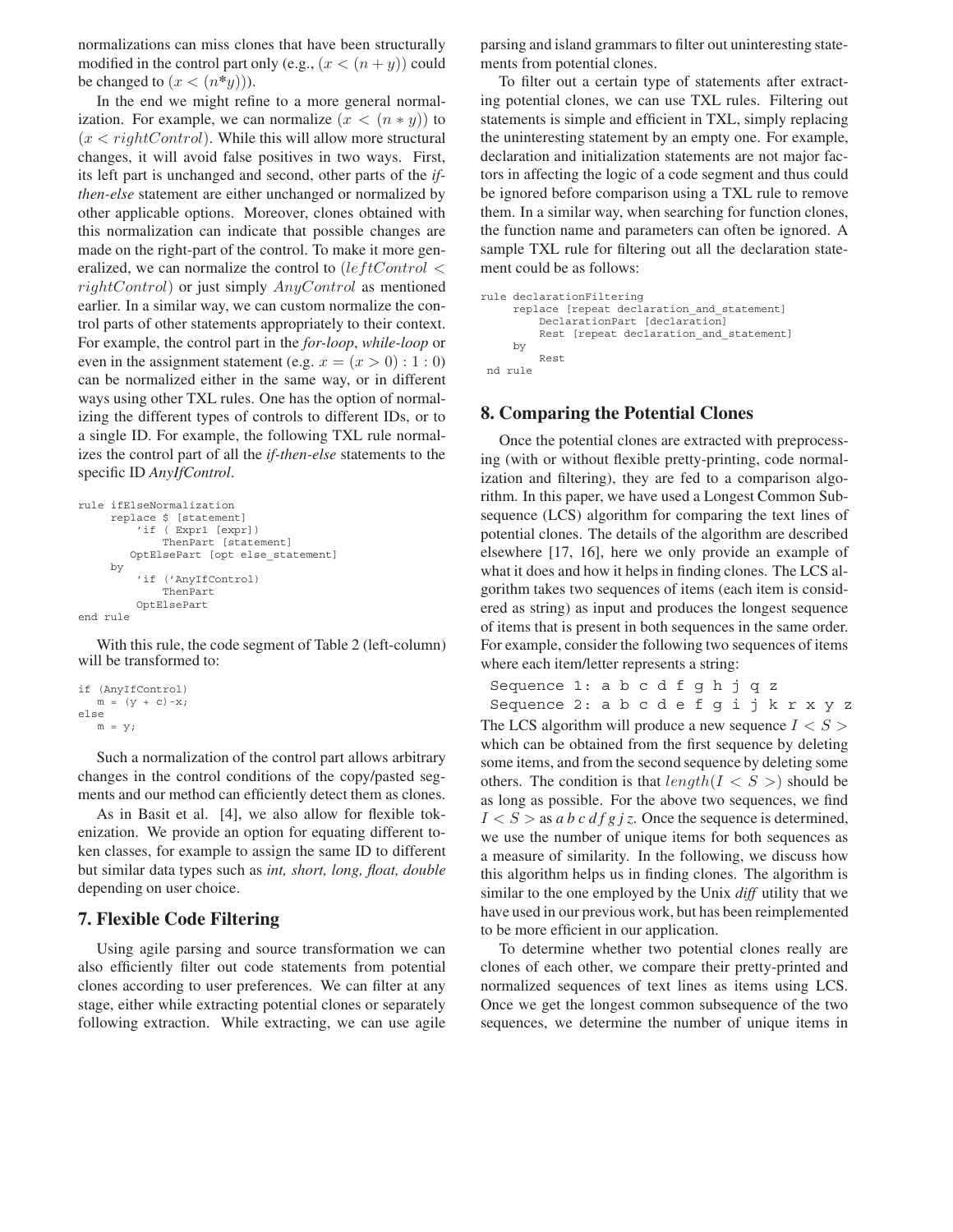normalizations can miss clones that have been structurally modified in the control part only (e.g.,  $(x < (n+y))$ ) could be changed to  $(x < (n^*y))$ .

In the end we might refine to a more general normalization. For example, we can normalize  $(x < (n * y))$  to  $(x < rightControl)$ . While this will allow more structural changes, it will avoid false positives in two ways. First, its left part is unchanged and second, other parts of the *ifthen-else* statement are either unchanged or normalized by other applicable options. Moreover, clones obtained with this normalization can indicate that possible changes are made on the right-part of the control. To make it more generalized, we can normalize the control to (*lef tControl < rightControl*) or just simply *AnyControl* as mentioned earlier. In a similar way, we can custom normalize the control parts of other statements appropriately to their context. For example, the control part in the *for-loop*, *while-loop* or even in the assignment statement (e.g.  $x = (x > 0) : 1 : 0$ ) can be normalized either in the same way, or in different ways using other TXL rules. One has the option of normalizing the different types of controls to different IDs, or to a single ID. For example, the following TXL rule normalizes the control part of all the *if-then-else* statements to the specific ID *AnyIfControl*.

```
rule ifElseNormalization
     replace $ [statement]
         'if ( Expr1 [expr])
             ThenPart [statement]
        OptElsePart [opt else_statement]
     by
         'if ('AnyIfControl)
             ThenPart
         OptElsePart
end rule
```
With this rule, the code segment of Table 2 (left-column) will be transformed to:

```
if (AnyIfControl)
       \mathfrak{m} \ = \ (\mathfrak{y} \ + \ \mathbf{c}) \ \text{-}\mathbf{x} \, ;else
      m = y;
```
Such a normalization of the control part allows arbitrary changes in the control conditions of the copy/pasted segments and our method can efficiently detect them as clones.

As in Basit et al. [4], we also allow for flexible tokenization. We provide an option for equating different token classes, for example to assign the same ID to different but similar data types such as *int, short, long, float, double* depending on user choice.

#### **7. Flexible Code Filtering**

Using agile parsing and source transformation we can also efficiently filter out code statements from potential clones according to user preferences. We can filter at any stage, either while extracting potential clones or separately following extraction. While extracting, we can use agile parsing and island grammars to filter out uninteresting statements from potential clones.

To filter out a certain type of statements after extracting potential clones, we can use TXL rules. Filtering out statements is simple and efficient in TXL, simply replacing the uninteresting statement by an empty one. For example, declaration and initialization statements are not major factors in affecting the logic of a code segment and thus could be ignored before comparison using a TXL rule to remove them. In a similar way, when searching for function clones, the function name and parameters can often be ignored. A sample TXL rule for filtering out all the declaration statement could be as follows:

```
rule declarationFiltering
    replace [repeat declaration_and_statement]
         DeclarationPart [declaration]
         Rest [repeat declaration and statement]
    by
         Rest
nd rule
```
#### **8. Comparing the Potential Clones**

Once the potential clones are extracted with preprocessing (with or without flexible pretty-printing, code normalization and filtering), they are fed to a comparison algorithm. In this paper, we have used a Longest Common Subsequence (LCS) algorithm for comparing the text lines of potential clones. The details of the algorithm are described elsewhere [17, 16], here we only provide an example of what it does and how it helps in finding clones. The LCS algorithm takes two sequences of items (each item is considered as string) as input and produces the longest sequence of items that is present in both sequences in the same order. For example, consider the following two sequences of items where each item/letter represents a string:

```
Sequence 1: a b c d f g h j q z
 Sequence 2: a b c d e f g i j k r x y z
The LCS algorithm will produce a new sequence I < Swhich can be obtained from the first sequence by deleting
some items, and from the second sequence by deleting some
others. The condition is that length(I \lt S >) should be
as long as possible. For the above two sequences, we find
I < S > as a b c d f g j z. Once the sequence is determined,
we use the number of unique items for both sequences as
a measure of similarity. In the following, we discuss how
this algorithm helps us in finding clones. The algorithm is
similar to the one employed by the Unix diff utility that we
have used in our previous work, but has been reimplemented
to be more efficient in our application.
```
To determine whether two potential clones really are clones of each other, we compare their pretty-printed and normalized sequences of text lines as items using LCS. Once we get the longest common subsequence of the two sequences, we determine the number of unique items in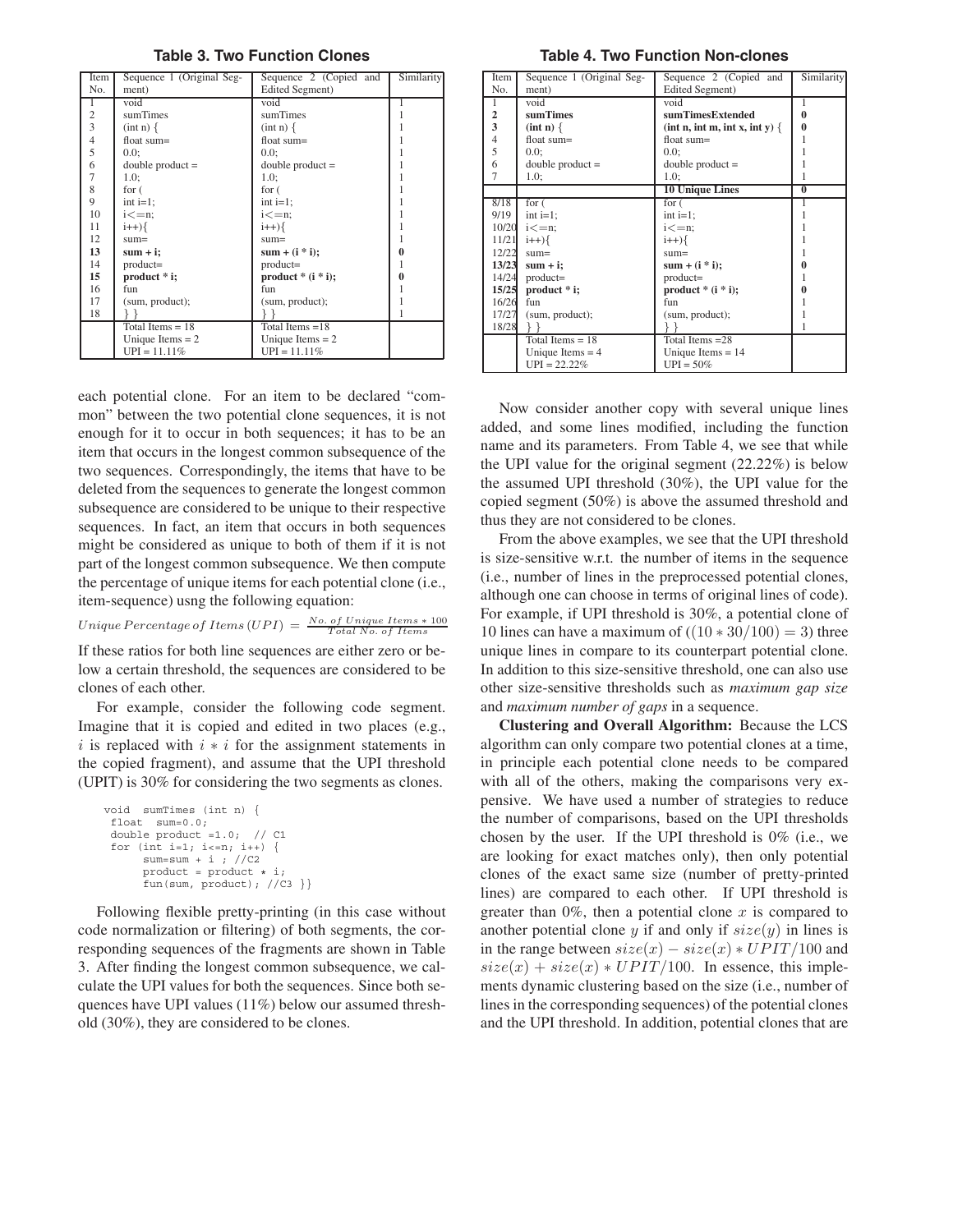**Table 3. Two Function Clones**

| Item             | Sequence 1 (Original Seg- | Sequence 2 (Copied and | Similarity |
|------------------|---------------------------|------------------------|------------|
| No.              | ment)                     | Edited Segment)        |            |
| 1                | void                      | void                   |            |
| $\frac{2}{3}$    | sumTimes                  | sumTimes               |            |
|                  | $(int n)$ {               | (int n)                |            |
| $\frac{4}{5}$    | float $sum =$             | float sum $=$          |            |
|                  | $0.0$ ;                   | $0.0$ ;                |            |
| 6                | $double product =$        | $double product =$     |            |
| $\boldsymbol{7}$ | $1.0$ ;                   | $1.0$ ;                |            |
| $\,$ 8 $\,$      | for $($                   | for (                  |            |
| 9                | $int i=1$ ;               | $int i=1$ ;            |            |
| 10               | $i \leq n$                | i<=n;                  |            |
| 11               | $i++$ ){                  | $i++$ ) {              |            |
| 12               | $sum =$                   | $sum =$                |            |
| 13               | $sum + i$                 | $sum + (i * i);$       |            |
| 14               | $product=$                | $product=$             |            |
| 15               | product $*$ i;            | product $*(i * i);$    |            |
| 16               | fun                       | fun                    |            |
| 17               | (sum, product);           | (sum, product);        |            |
| 18               |                           |                        |            |
|                  | Total Items $= 18$        | Total Items $=18$      |            |
|                  | Unique Items $= 2$        | Unique Items $= 2$     |            |
|                  | $UPI = 11.11\%$           | $UPI = 11.11\%$        |            |

each potential clone. For an item to be declared "common" between the two potential clone sequences, it is not enough for it to occur in both sequences; it has to be an item that occurs in the longest common subsequence of the two sequences. Correspondingly, the items that have to be deleted from the sequences to generate the longest common subsequence are considered to be unique to their respective sequences. In fact, an item that occurs in both sequences might be considered as unique to both of them if it is not part of the longest common subsequence. We then compute the percentage of unique items for each potential clone (i.e., item-sequence) usng the following equation:

 $Unique Percentage of \,Items \,(UPI) = \frac{No. \, of \, Unique \,Items * 100}{Total \, No. \, of \,Items}$ 

If these ratios for both line sequences are either zero or below a certain threshold, the sequences are considered to be clones of each other.

For example, consider the following code segment. Imagine that it is copied and edited in two places (e.g., *i* is replaced with *i* ∗ *i* for the assignment statements in the copied fragment), and assume that the UPI threshold (UPIT) is 30% for considering the two segments as clones.

```
void sumTimes (int n) {
 float sum=0.0;
 double product =1.0; // C1
 for (int i=1; i<=n; i++) {
       sum = sum + i ; //C2
       \texttt{product = product}\;\star\;\texttt{i}\;;\;\;fun(sum, product); //C3}
```
Following flexible pretty-printing (in this case without code normalization or filtering) of both segments, the corresponding sequences of the fragments are shown in Table 3. After finding the longest common subsequence, we calculate the UPI values for both the sequences. Since both sequences have UPI values (11%) below our assumed threshold (30%), they are considered to be clones.

**Table 4. Two Function Non-clones**

| Item                    | Sequence 1 (Original Seg- | Sequence 2 (Copied and       | Similarity   |
|-------------------------|---------------------------|------------------------------|--------------|
| No.                     | ment)                     | Edited Segment)              |              |
| 1                       | void                      | void                         | 1            |
| $\overline{2}$          | sumTimes                  | sumTimesExtended             | $\mathbf{0}$ |
| $\overline{\mathbf{3}}$ | $(int n) \{$              | (int n, int m, int x, int y) | $\bf{0}$     |
| $\frac{4}{5}$           | float $sum =$             | float sum $=$                | 1            |
|                         | $0.0$ ;                   | 0.0                          |              |
| 6                       | $double$ product $=$      | $double$ product $=$         |              |
| $\overline{7}$          | 1.0:                      | 1.0:                         | 1            |
|                         |                           | <b>10 Unique Lines</b>       | $\bf{0}$     |
| 8/18                    | for $($                   | for $($                      |              |
| 9/19                    | $int i=1$ ;               | $int i=1$ ;                  |              |
|                         | $10/20$ i $\leq$ = n;     | $i \leq n$ ;                 |              |
| 11/21                   | $i++$ ){                  | $i++$ ){                     |              |
| 12/22                   | $sum =$                   | $sum =$                      |              |
| 13/23                   | $sum + i$                 | $sum + (i * i);$             | 0            |
| 14/24                   | $product=$                | $product=$                   |              |
| 15/25                   | $product * i;$            | product $*(i * i);$          | 0            |
| 16/26                   | fun                       | fun                          |              |
| 17/27                   | (sum, product);           | (sum, product);              |              |
| 18/28                   |                           |                              | 1            |
|                         | Total Items $= 18$        | Total Items $= 28$           |              |
|                         | Unique Items $=$ 4        | Unique Items $= 14$          |              |
|                         | $UPI = 22.22%$            | $UPI = 50\%$                 |              |

Now consider another copy with several unique lines added, and some lines modified, including the function name and its parameters. From Table 4, we see that while the UPI value for the original segment (22.22%) is below the assumed UPI threshold (30%), the UPI value for the copied segment (50%) is above the assumed threshold and thus they are not considered to be clones.

From the above examples, we see that the UPI threshold is size-sensitive w.r.t. the number of items in the sequence (i.e., number of lines in the preprocessed potential clones, although one can choose in terms of original lines of code). For example, if UPI threshold is 30%, a potential clone of 10 lines can have a maximum of ((10 ∗ 30*/*100) = 3) three unique lines in compare to its counterpart potential clone. In addition to this size-sensitive threshold, one can also use other size-sensitive thresholds such as *maximum gap size* and *maximum number of gaps* in a sequence.

**Clustering and Overall Algorithm:** Because the LCS algorithm can only compare two potential clones at a time, in principle each potential clone needs to be compared with all of the others, making the comparisons very expensive. We have used a number of strategies to reduce the number of comparisons, based on the UPI thresholds chosen by the user. If the UPI threshold is 0% (i.e., we are looking for exact matches only), then only potential clones of the exact same size (number of pretty-printed lines) are compared to each other. If UPI threshold is greater than 0%, then a potential clone *x* is compared to another potential clone *y* if and only if *size*(*y*) in lines is in the range between  $size(x) - size(x) * UPTT/100$  and  $size(x) + size(x) * UPIT/100$ . In essence, this implements dynamic clustering based on the size (i.e., number of lines in the corresponding sequences) of the potential clones and the UPI threshold. In addition, potential clones that are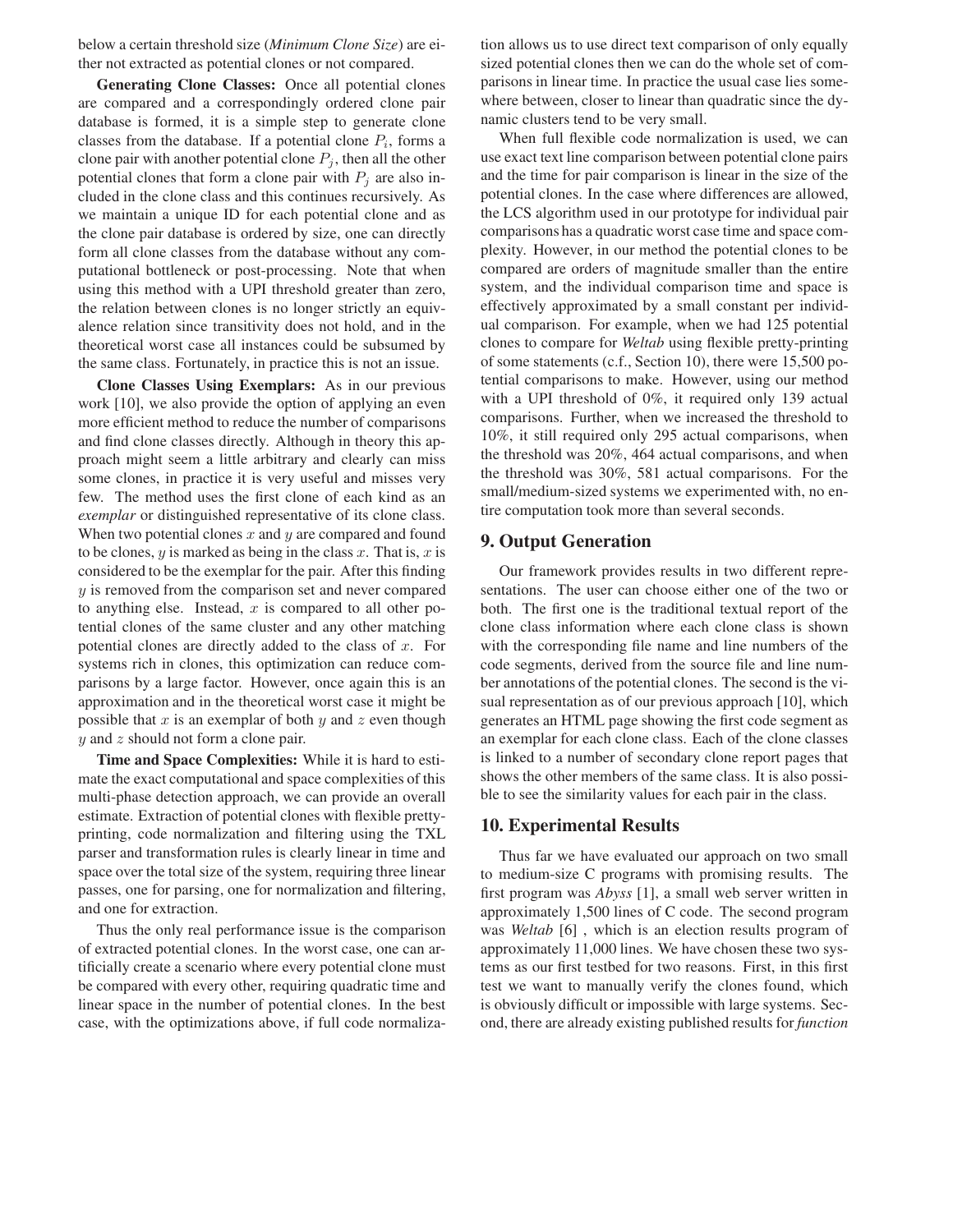below a certain threshold size (*Minimum Clone Size*) are either not extracted as potential clones or not compared.

**Generating Clone Classes:** Once all potential clones are compared and a correspondingly ordered clone pair database is formed, it is a simple step to generate clone classes from the database. If a potential clone  $P_i$ , forms a clone pair with another potential clone  $P_j$ , then all the other potential clones that form a clone pair with  $P_j$  are also included in the clone class and this continues recursively. As we maintain a unique ID for each potential clone and as the clone pair database is ordered by size, one can directly form all clone classes from the database without any computational bottleneck or post-processing. Note that when using this method with a UPI threshold greater than zero, the relation between clones is no longer strictly an equivalence relation since transitivity does not hold, and in the theoretical worst case all instances could be subsumed by the same class. Fortunately, in practice this is not an issue.

**Clone Classes Using Exemplars:** As in our previous work [10], we also provide the option of applying an even more efficient method to reduce the number of comparisons and find clone classes directly. Although in theory this approach might seem a little arbitrary and clearly can miss some clones, in practice it is very useful and misses very few. The method uses the first clone of each kind as an *exemplar* or distinguished representative of its clone class. When two potential clones *x* and *y* are compared and found to be clones, *y* is marked as being in the class *x*. That is, *x* is considered to be the exemplar for the pair. After this finding *y* is removed from the comparison set and never compared to anything else. Instead, *x* is compared to all other potential clones of the same cluster and any other matching potential clones are directly added to the class of *x*. For systems rich in clones, this optimization can reduce comparisons by a large factor. However, once again this is an approximation and in the theoretical worst case it might be possible that *x* is an exemplar of both *y* and *z* even though *y* and *z* should not form a clone pair.

**Time and Space Complexities:** While it is hard to estimate the exact computational and space complexities of this multi-phase detection approach, we can provide an overall estimate. Extraction of potential clones with flexible prettyprinting, code normalization and filtering using the TXL parser and transformation rules is clearly linear in time and space over the total size of the system, requiring three linear passes, one for parsing, one for normalization and filtering, and one for extraction.

Thus the only real performance issue is the comparison of extracted potential clones. In the worst case, one can artificially create a scenario where every potential clone must be compared with every other, requiring quadratic time and linear space in the number of potential clones. In the best case, with the optimizations above, if full code normalization allows us to use direct text comparison of only equally sized potential clones then we can do the whole set of comparisons in linear time. In practice the usual case lies somewhere between, closer to linear than quadratic since the dynamic clusters tend to be very small.

When full flexible code normalization is used, we can use exact text line comparison between potential clone pairs and the time for pair comparison is linear in the size of the potential clones. In the case where differences are allowed, the LCS algorithm used in our prototype for individual pair comparisons has a quadratic worst case time and space complexity. However, in our method the potential clones to be compared are orders of magnitude smaller than the entire system, and the individual comparison time and space is effectively approximated by a small constant per individual comparison. For example, when we had 125 potential clones to compare for *Weltab* using flexible pretty-printing of some statements (c.f., Section 10), there were 15,500 potential comparisons to make. However, using our method with a UPI threshold of 0%, it required only 139 actual comparisons. Further, when we increased the threshold to 10%, it still required only 295 actual comparisons, when the threshold was 20%, 464 actual comparisons, and when the threshold was 30%, 581 actual comparisons. For the small/medium-sized systems we experimented with, no entire computation took more than several seconds.

#### **9. Output Generation**

Our framework provides results in two different representations. The user can choose either one of the two or both. The first one is the traditional textual report of the clone class information where each clone class is shown with the corresponding file name and line numbers of the code segments, derived from the source file and line number annotations of the potential clones. The second is the visual representation as of our previous approach [10], which generates an HTML page showing the first code segment as an exemplar for each clone class. Each of the clone classes is linked to a number of secondary clone report pages that shows the other members of the same class. It is also possible to see the similarity values for each pair in the class.

#### **10. Experimental Results**

Thus far we have evaluated our approach on two small to medium-size C programs with promising results. The first program was *Abyss* [1], a small web server written in approximately 1,500 lines of C code. The second program was *Weltab* [6] , which is an election results program of approximately 11,000 lines. We have chosen these two systems as our first testbed for two reasons. First, in this first test we want to manually verify the clones found, which is obviously difficult or impossible with large systems. Second, there are already existing published results for *function*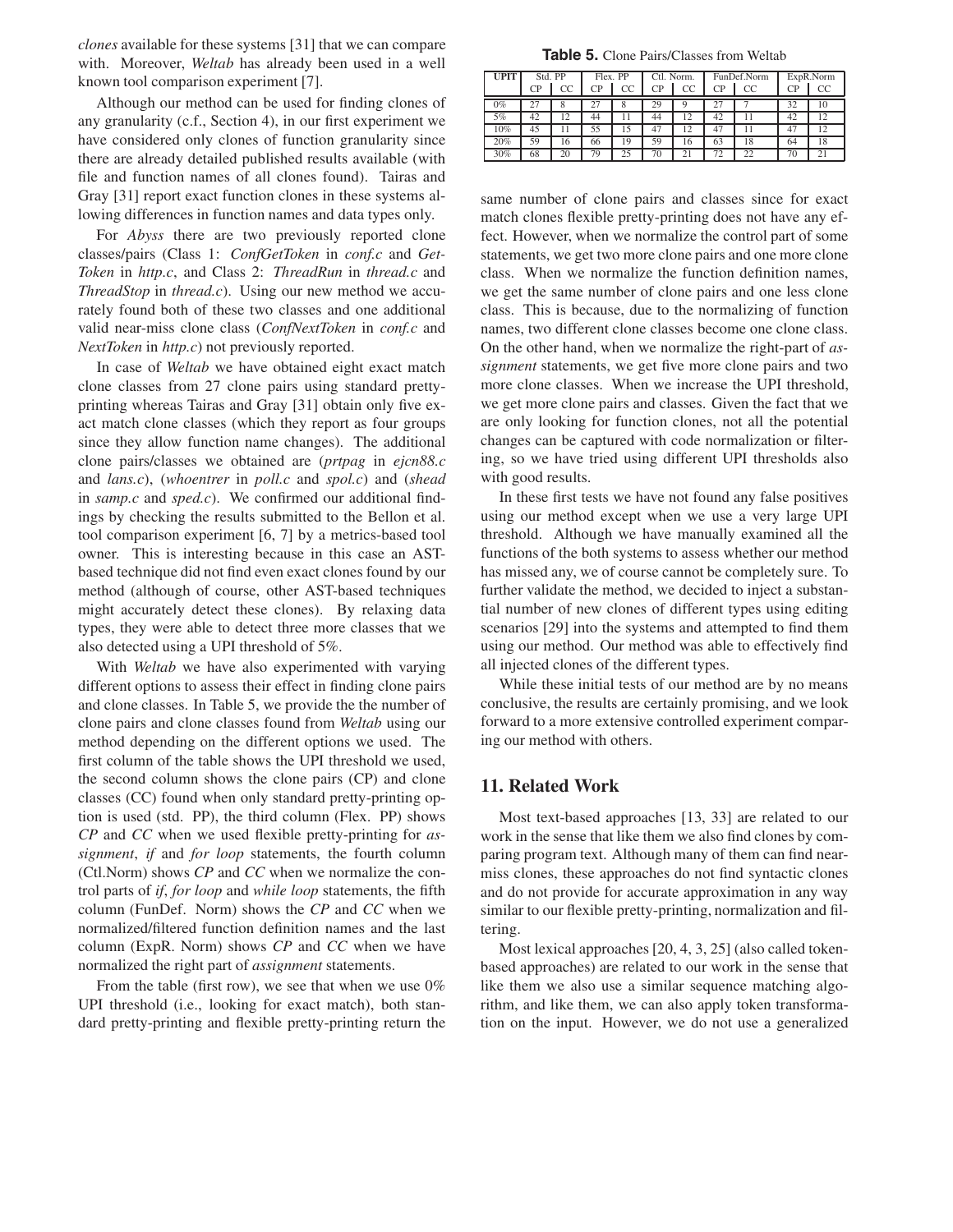*clones* available for these systems [31] that we can compare with. Moreover, *Weltab* has already been used in a well known tool comparison experiment [7].

Although our method can be used for finding clones of any granularity (c.f., Section 4), in our first experiment we have considered only clones of function granularity since there are already detailed published results available (with file and function names of all clones found). Tairas and Gray [31] report exact function clones in these systems allowing differences in function names and data types only.

For *Abyss* there are two previously reported clone classes/pairs (Class 1: *ConfGetToken* in *conf.c* and *Get-Token* in *http.c*, and Class 2: *ThreadRun* in *thread.c* and *ThreadStop* in *thread.c*). Using our new method we accurately found both of these two classes and one additional valid near-miss clone class (*ConfNextToken* in *conf.c* and *NextToken* in *http.c*) not previously reported.

In case of *Weltab* we have obtained eight exact match clone classes from 27 clone pairs using standard prettyprinting whereas Tairas and Gray [31] obtain only five exact match clone classes (which they report as four groups since they allow function name changes). The additional clone pairs/classes we obtained are (*prtpag* in *ejcn88.c* and *lans.c*), (*whoentrer* in *poll.c* and *spol.c*) and (*shead* in *samp.c* and *sped.c*). We confirmed our additional findings by checking the results submitted to the Bellon et al. tool comparison experiment [6, 7] by a metrics-based tool owner. This is interesting because in this case an ASTbased technique did not find even exact clones found by our method (although of course, other AST-based techniques might accurately detect these clones). By relaxing data types, they were able to detect three more classes that we also detected using a UPI threshold of 5%.

With *Weltab* we have also experimented with varying different options to assess their effect in finding clone pairs and clone classes. In Table 5, we provide the the number of clone pairs and clone classes found from *Weltab* using our method depending on the different options we used. The first column of the table shows the UPI threshold we used, the second column shows the clone pairs (CP) and clone classes (CC) found when only standard pretty-printing option is used (std. PP), the third column (Flex. PP) shows *CP* and *CC* when we used flexible pretty-printing for *assignment*, *if* and *for loop* statements, the fourth column (Ctl.Norm) shows *CP* and *CC* when we normalize the control parts of *if*, *for loop* and *while loop* statements, the fifth column (FunDef. Norm) shows the *CP* and *CC* when we normalized/filtered function definition names and the last column (ExpR. Norm) shows *CP* and *CC* when we have normalized the right part of *assignment* statements.

From the table (first row), we see that when we use 0% UPI threshold (i.e., looking for exact match), both standard pretty-printing and flexible pretty-printing return the

**Table 5.** Clone Pairs/Classes from Weltab

| <b>UPIT</b> | Std. PP |    | Flex. PP |    | Ctl. Norm. |    | FunDef.Norm |     | ExpR.Norm |     |
|-------------|---------|----|----------|----|------------|----|-------------|-----|-----------|-----|
|             | CР      | CC | ΓP       | CC | <b>CP</b>  | CC | CР          | CC. | CР        | CC. |
| $0\%$       |         |    |          |    | 29         |    | 27          |     | 32        | 10  |
| 5%          | 42      |    | 44       |    | 44         | 12 | 42          |     | 42        | 12  |
| 10%         | 45      |    | 55       | 15 | 47         | 12 | 47          |     | 47        | 12  |
| 20%         | 59      | 16 | 66       | 19 | 59         | 16 | 63          | 18  | 64        | 18  |
| 30%         | 68      | 20 | 79       | 25 | 70         | 21 | 72          | 22  | 70        |     |

same number of clone pairs and classes since for exact match clones flexible pretty-printing does not have any effect. However, when we normalize the control part of some statements, we get two more clone pairs and one more clone class. When we normalize the function definition names, we get the same number of clone pairs and one less clone class. This is because, due to the normalizing of function names, two different clone classes become one clone class. On the other hand, when we normalize the right-part of *assignment* statements, we get five more clone pairs and two more clone classes. When we increase the UPI threshold, we get more clone pairs and classes. Given the fact that we are only looking for function clones, not all the potential changes can be captured with code normalization or filtering, so we have tried using different UPI thresholds also with good results.

In these first tests we have not found any false positives using our method except when we use a very large UPI threshold. Although we have manually examined all the functions of the both systems to assess whether our method has missed any, we of course cannot be completely sure. To further validate the method, we decided to inject a substantial number of new clones of different types using editing scenarios [29] into the systems and attempted to find them using our method. Our method was able to effectively find all injected clones of the different types.

While these initial tests of our method are by no means conclusive, the results are certainly promising, and we look forward to a more extensive controlled experiment comparing our method with others.

## **11. Related Work**

Most text-based approaches [13, 33] are related to our work in the sense that like them we also find clones by comparing program text. Although many of them can find nearmiss clones, these approaches do not find syntactic clones and do not provide for accurate approximation in any way similar to our flexible pretty-printing, normalization and filtering.

Most lexical approaches [20, 4, 3, 25] (also called tokenbased approaches) are related to our work in the sense that like them we also use a similar sequence matching algorithm, and like them, we can also apply token transformation on the input. However, we do not use a generalized